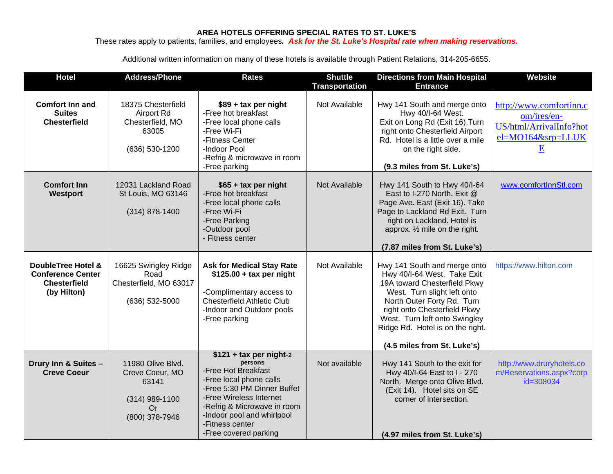## **AREA HOTELS OFFERING SPECIAL RATES TO ST. LUKE'S**

These rates apply to patients, families, and employees*. Ask for the St. Luke's Hospital rate when making reservations.*

Additional written information on many of these hotels is available through Patient Relations, 314-205-6655.

| <b>Hotel</b>                                                                                    | <b>Address/Phone</b>                                                                             | <b>Rates</b>                                                                                                                                                                                                                                             | <b>Shuttle</b><br><b>Transportation</b> | <b>Directions from Main Hospital</b><br><b>Entrance</b>                                                                                                                                                                                                                                      | Website                                                                                     |
|-------------------------------------------------------------------------------------------------|--------------------------------------------------------------------------------------------------|----------------------------------------------------------------------------------------------------------------------------------------------------------------------------------------------------------------------------------------------------------|-----------------------------------------|----------------------------------------------------------------------------------------------------------------------------------------------------------------------------------------------------------------------------------------------------------------------------------------------|---------------------------------------------------------------------------------------------|
| <b>Comfort Inn and</b><br><b>Suites</b><br><b>Chesterfield</b>                                  | 18375 Chesterfield<br>Airport Rd<br>Chesterfield, MO<br>63005<br>(636) 530-1200                  | $$89 + tax$ per night<br>-Free hot breakfast<br>-Free local phone calls<br>-Free Wi-Fi<br>-Fitness Center<br>-Indoor Pool<br>-Refrig & microwave in room<br>-Free parking                                                                                | Not Available                           | Hwy 141 South and merge onto<br>Hwy 40/I-64 West.<br>Exit on Long Rd (Exit 16). Turn<br>right onto Chesterfield Airport<br>Rd. Hotel is a little over a mile<br>on the right side.<br>(9.3 miles from St. Luke's)                                                                            | http://www.comfortinn.c<br>om/ires/en-<br>US/html/ArrivalInfo?hot<br>el=MO164&srp=LLUK<br>E |
| <b>Comfort Inn</b><br>Westport                                                                  | 12031 Lackland Road<br>St Louis, MO 63146<br>$(314) 878 - 1400$                                  | \$65 + tax per night<br>-Free hot breakfast<br>-Free local phone calls<br>-Free Wi-Fi<br>-Free Parking<br>-Outdoor pool<br>- Fitness center                                                                                                              | Not Available                           | Hwy 141 South to Hwy 40/I-64<br>East to I-270 North. Exit @<br>Page Ave. East (Exit 16). Take<br>Page to Lackland Rd Exit. Turn<br>right on Lackland. Hotel is<br>approx. $\frac{1}{2}$ mile on the right.<br>(7.87 miles from St. Luke's)                                                   | www.comfortInnStl.com                                                                       |
| <b>DoubleTree Hotel &amp;</b><br><b>Conference Center</b><br><b>Chesterfield</b><br>(by Hilton) | 16625 Swingley Ridge<br>Road<br>Chesterfield, MO 63017<br>(636) 532-5000                         | <b>Ask for Medical Stay Rate</b><br>$$125.00 + tax$ per night<br>-Complimentary access to<br><b>Chesterfield Athletic Club</b><br>-Indoor and Outdoor pools<br>-Free parking                                                                             | Not Available                           | Hwy 141 South and merge onto<br>Hwy 40/I-64 West. Take Exit<br>19A toward Chesterfield Pkwy<br>West. Turn slight left onto<br>North Outer Forty Rd. Turn<br>right onto Chesterfield Pkwy<br>West. Turn left onto Swingley<br>Ridge Rd. Hotel is on the right.<br>(4.5 miles from St. Luke's) | https://www.hilton.com                                                                      |
| Drury Inn & Suites -<br><b>Creve Coeur</b>                                                      | 11980 Olive Blvd.<br>Creve Coeur, MO<br>63141<br>$(314)$ 989-1100<br><b>Or</b><br>(800) 378-7946 | $$121 + tax per night-2$<br>persons<br>-Free Hot Breakfast<br>-Free local phone calls<br>-Free 5:30 PM Dinner Buffet<br>-Free Wireless Internet<br>-Refrig & Microwave in room<br>-Indoor pool and whirlpool<br>-Fitness center<br>-Free covered parking | Not available                           | Hwy 141 South to the exit for<br>Hwy 40/I-64 East to I - 270<br>North. Merge onto Olive Blvd.<br>(Exit 14). Hotel sits on SE<br>corner of intersection.<br>(4.97 miles from St. Luke's)                                                                                                      | http://www.druryhotels.co<br>m/Reservations.aspx?corp<br>id=308034                          |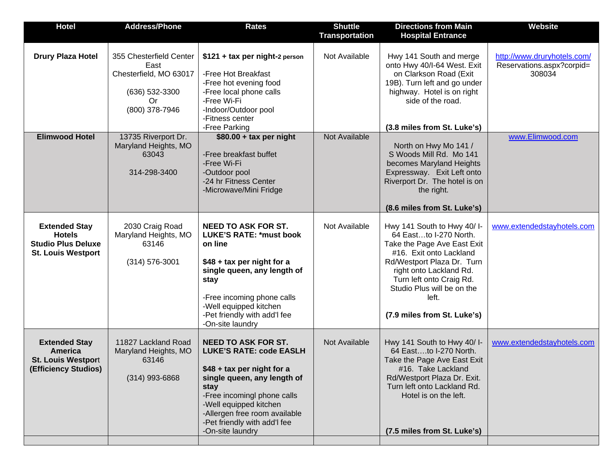| <b>Hotel</b>                                                                                    | <b>Address/Phone</b>                                                                                | <b>Rates</b>                                                                                                                                                                                                                                                                    | <b>Shuttle</b><br><b>Transportation</b> | <b>Directions from Main</b><br><b>Hospital Entrance</b>                                                                                                                                                                                                                   | <b>Website</b>                                                     |
|-------------------------------------------------------------------------------------------------|-----------------------------------------------------------------------------------------------------|---------------------------------------------------------------------------------------------------------------------------------------------------------------------------------------------------------------------------------------------------------------------------------|-----------------------------------------|---------------------------------------------------------------------------------------------------------------------------------------------------------------------------------------------------------------------------------------------------------------------------|--------------------------------------------------------------------|
| <b>Drury Plaza Hotel</b>                                                                        | 355 Chesterfield Center<br>East<br>Chesterfield, MO 63017<br>(636) 532-3300<br>Or<br>(800) 378-7946 | $$121 + tax$ per night-2 person<br>-Free Hot Breakfast<br>-Free hot evening food<br>-Free local phone calls<br>-Free Wi-Fi<br>-Indoor/Outdoor pool<br>-Fitness center<br>-Free Parking                                                                                          | Not Available                           | Hwy 141 South and merge<br>onto Hwy 40/I-64 West. Exit<br>on Clarkson Road (Exit<br>19B). Turn left and go under<br>highway. Hotel is on right<br>side of the road.<br>(3.8 miles from St. Luke's)                                                                        | http://www.druryhotels.com/<br>Reservations.aspx?corpid=<br>308034 |
| <b>Elimwood Hotel</b>                                                                           | 13735 Riverport Dr.<br>Maryland Heights, MO<br>63043<br>314-298-3400                                | $$80.00 + tax$ per night<br>-Free breakfast buffet<br>-Free Wi-Fi<br>-Outdoor pool<br>-24 hr Fitness Center<br>-Microwave/Mini Fridge                                                                                                                                           | Not Available                           | North on Hwy Mo 141 /<br>S Woods Mill Rd. Mo 141<br>becomes Maryland Heights<br>Expressway. Exit Left onto<br>Riverport Dr. The hotel is on<br>the right.<br>(8.6 miles from St. Luke's)                                                                                  | www.Elimwood.com                                                   |
| <b>Extended Stay</b><br><b>Hotels</b><br><b>Studio Plus Deluxe</b><br><b>St. Louis Westport</b> | 2030 Craig Road<br>Maryland Heights, MO<br>63146<br>$(314) 576 - 3001$                              | <b>NEED TO ASK FOR ST.</b><br><b>LUKE'S RATE: *must book</b><br>on line<br>\$48 + tax per night for a<br>single queen, any length of<br>stay<br>-Free incoming phone calls<br>-Well equipped kitchen<br>-Pet friendly with add'l fee<br>-On-site laundry                        | Not Available                           | Hwy 141 South to Hwy 40/I-<br>64 Eastto I-270 North.<br>Take the Page Ave East Exit<br>#16. Exit onto Lackland<br>Rd/Westport Plaza Dr. Turn<br>right onto Lackland Rd.<br>Turn left onto Craig Rd.<br>Studio Plus will be on the<br>left.<br>(7.9 miles from St. Luke's) | www.extendedstayhotels.com                                         |
| <b>Extended Stay</b><br>America<br><b>St. Louis Westport</b><br>(Efficiency Studios)            | 11827 Lackland Road<br>Maryland Heights, MO<br>63146<br>$(314)$ 993-6868                            | <b>NEED TO ASK FOR ST.</b><br><b>LUKE'S RATE: code EASLH</b><br>\$48 + tax per night for a<br>single queen, any length of<br>stay<br>-Free incomingl phone calls<br>-Well equipped kitchen<br>-Allergen free room available<br>-Pet friendly with add'l fee<br>-On-site laundry | Not Available                           | Hwy 141 South to Hwy 40/ I-<br>64 Eastto I-270 North.<br>Take the Page Ave East Exit<br>#16. Take Lackland<br>Rd/Westport Plaza Dr. Exit.<br>Turn left onto Lackland Rd.<br>Hotel is on the left.<br>(7.5 miles from St. Luke's)                                          | www.extendedstayhotels.com                                         |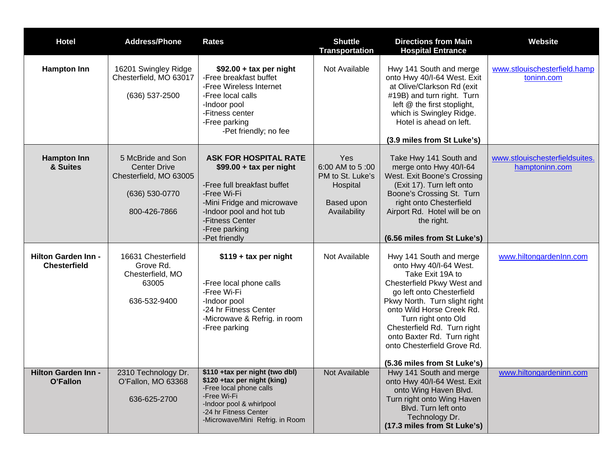| <b>Hotel</b>                                      | <b>Address/Phone</b>                                                                                 | <b>Rates</b>                                                                                                                                                                                                          | <b>Shuttle</b><br><b>Transportation</b>                                              | <b>Directions from Main</b><br><b>Hospital Entrance</b>                                                                                                                                                                                                                                                                                          | <b>Website</b>                                   |
|---------------------------------------------------|------------------------------------------------------------------------------------------------------|-----------------------------------------------------------------------------------------------------------------------------------------------------------------------------------------------------------------------|--------------------------------------------------------------------------------------|--------------------------------------------------------------------------------------------------------------------------------------------------------------------------------------------------------------------------------------------------------------------------------------------------------------------------------------------------|--------------------------------------------------|
| <b>Hampton Inn</b>                                | 16201 Swingley Ridge<br>Chesterfield, MO 63017<br>(636) 537-2500                                     | $$92.00 + tax$ per night<br>-Free breakfast buffet<br>-Free Wireless Internet<br>-Free local calls<br>-Indoor pool<br>-Fitness center<br>-Free parking<br>-Pet friendly; no fee                                       | Not Available                                                                        | Hwy 141 South and merge<br>onto Hwy 40/I-64 West. Exit<br>at Olive/Clarkson Rd (exit<br>#19B) and turn right. Turn<br>left @ the first stoplight,<br>which is Swingley Ridge.<br>Hotel is ahead on left.<br>(3.9 miles from St Luke's)                                                                                                           | www.stlouischesterfield.hamp<br>toninn.com       |
| <b>Hampton Inn</b><br>& Suites                    | 5 McBride and Son<br><b>Center Drive</b><br>Chesterfield, MO 63005<br>(636) 530-0770<br>800-426-7866 | <b>ASK FOR HOSPITAL RATE</b><br>$$99.00 + tax$ per night<br>-Free full breakfast buffet<br>-Free Wi-Fi<br>-Mini Fridge and microwave<br>-Indoor pool and hot tub<br>-Fitness Center<br>-Free parking<br>-Pet friendly | Yes<br>6:00 AM to 5:00<br>PM to St. Luke's<br>Hospital<br>Based upon<br>Availability | Take Hwy 141 South and<br>merge onto Hwy 40/I-64<br>West. Exit Boone's Crossing<br>(Exit 17). Turn left onto<br>Boone's Crossing St. Turn<br>right onto Chesterfield<br>Airport Rd. Hotel will be on<br>the right.<br>(6.56 miles from St Luke's)                                                                                                | www.stlouischesterfieldsuites.<br>hamptoninn.com |
| <b>Hilton Garden Inn -</b><br><b>Chesterfield</b> | 16631 Chesterfield<br>Grove Rd.<br>Chesterfield, MO<br>63005<br>636-532-9400                         | $$119 + tax$ per night<br>-Free local phone calls<br>-Free Wi-Fi<br>-Indoor pool<br>-24 hr Fitness Center<br>-Microwave & Refrig. in room<br>-Free parking                                                            | Not Available                                                                        | Hwy 141 South and merge<br>onto Hwy 40/I-64 West.<br>Take Exit 19A to<br>Chesterfield Pkwy West and<br>go left onto Chesterfield<br>Pkwy North. Turn slight right<br>onto Wild Horse Creek Rd.<br>Turn right onto Old<br>Chesterfield Rd. Turn right<br>onto Baxter Rd. Turn right<br>onto Chesterfield Grove Rd.<br>(5.36 miles from St Luke's) | www.hiltongardenInn.com                          |
| <b>Hilton Garden Inn -</b><br>O'Fallon            | 2310 Technology Dr.<br>O'Fallon, MO 63368<br>636-625-2700                                            | \$110 +tax per night (two dbl)<br>\$120 +tax per night (king)<br>-Free local phone calls<br>-Free Wi-Fi<br>-Indoor pool & whirlpool<br>-24 hr Fitness Center<br>-Microwave/Mini Refrig. in Room                       | Not Available                                                                        | Hwy 141 South and merge<br>onto Hwy 40/I-64 West. Exit<br>onto Wing Haven Blvd.<br>Turn right onto Wing Haven<br>Blvd. Turn left onto<br>Technology Dr.<br>(17.3 miles from St Luke's)                                                                                                                                                           | www.hiltongardeninn.com                          |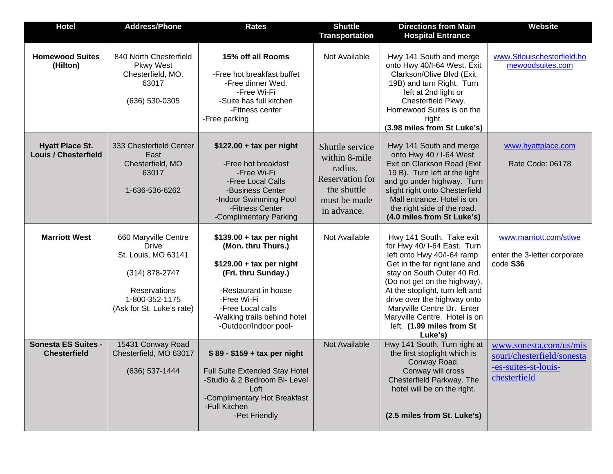| <b>Hotel</b>                                          | <b>Address/Phone</b>                                                                                                                                | <b>Rates</b>                                                                                                                                                                                                             | <b>Shuttle</b><br><b>Transportation</b>                                                                             | <b>Directions from Main</b><br><b>Hospital Entrance</b>                                                                                                                                                                                                                                                                                                        | <b>Website</b>                                                                               |
|-------------------------------------------------------|-----------------------------------------------------------------------------------------------------------------------------------------------------|--------------------------------------------------------------------------------------------------------------------------------------------------------------------------------------------------------------------------|---------------------------------------------------------------------------------------------------------------------|----------------------------------------------------------------------------------------------------------------------------------------------------------------------------------------------------------------------------------------------------------------------------------------------------------------------------------------------------------------|----------------------------------------------------------------------------------------------|
| <b>Homewood Suites</b><br>(Hilton)                    | 840 North Chesterfield<br><b>Pkwy West</b><br>Chesterfield, MO.<br>63017<br>$(636) 530 - 0305$                                                      | 15% off all Rooms<br>-Free hot breakfast buffet<br>-Free dinner Wed.<br>-Free Wi-Fi<br>-Suite has full kitchen<br>-Fitness center<br>-Free parking                                                                       | Not Available                                                                                                       | Hwy 141 South and merge<br>onto Hwy 40/I-64 West. Exit<br>Clarkson/Olive Blvd (Exit<br>19B) and turn Right. Turn<br>left at 2nd light or<br>Chesterfield Pkwy.<br>Homewood Suites is on the<br>right.<br>(3.98 miles from St Luke's)                                                                                                                           | www.Stlouischesterfield.ho<br>mewoodsuites.com                                               |
| <b>Hyatt Place St.</b><br><b>Louis / Chesterfield</b> | 333 Chesterfield Center<br>East<br>Chesterfield, MO<br>63017<br>1-636-536-6262                                                                      | $$122.00 + tax$ per night<br>-Free hot breakfast<br>-Free Wi-Fi<br>-Free Local Calls<br>-Business Center<br>-Indoor Swimming Pool<br>-Fitness Center<br>-Complimentary Parking                                           | Shuttle service<br>within 8-mile<br>radius.<br><b>Reservation for</b><br>the shuttle<br>must be made<br>in advance. | Hwy 141 South and merge<br>onto Hwy 40 / I-64 West.<br>Exit on Clarkson Road (Exit<br>19 B). Turn left at the light<br>and go under highway. Turn<br>slight right onto Chesterfield<br>Mall entrance. Hotel is on<br>the right side of the road.<br>(4.0 miles from St Luke's)                                                                                 | www.hyattplace.com<br>Rate Code: 06178                                                       |
| <b>Marriott West</b>                                  | 660 Maryville Centre<br><b>Drive</b><br>St. Louis, MO 63141<br>(314) 878-2747<br><b>Reservations</b><br>1-800-352-1175<br>(Ask for St. Luke's rate) | $$139.00 + tax$ per night<br>(Mon. thru Thurs.)<br>$$129.00 + tax$ per night<br>(Fri. thru Sunday.)<br>-Restaurant in house<br>-Free Wi-Fi<br>-Free Local calls<br>-Walking trails behind hotel<br>-Outdoor/Indoor pool- | Not Available                                                                                                       | Hwy 141 South. Take exit<br>for Hwy 40/ I-64 East. Turn<br>left onto Hwy 40/I-64 ramp.<br>Get in the far right lane and<br>stay on South Outer 40 Rd.<br>(Do not get on the highway).<br>At the stoplight, turn left and<br>drive over the highway onto<br>Maryville Centre Dr. Enter<br>Maryville Centre. Hotel is on<br>left. (1.99 miles from St<br>Luke's) | www.marriott.com/stlwe<br>enter the 3-letter corporate<br>code S36                           |
| <b>Sonesta ES Suites -</b><br><b>Chesterfield</b>     | 15431 Conway Road<br>Chesterfield, MO 63017<br>(636) 537-1444                                                                                       | $$89 - $159 + tax per night$<br>Full Suite Extended Stay Hotel<br>-Studio & 2 Bedroom Bi- Level<br>Loft<br>-Complimentary Hot Breakfast<br>-Full Kitchen<br>-Pet Friendly                                                | Not Available                                                                                                       | Hwy 141 South. Turn right at<br>the first stoplight which is<br>Conway Road.<br>Conway will cross<br>Chesterfield Parkway. The<br>hotel will be on the right.<br>(2.5 miles from St. Luke's)                                                                                                                                                                   | www.sonesta.com/us/mis<br>souri/chesterfield/sonesta<br>-es-suites-st-louis-<br>chesterfield |